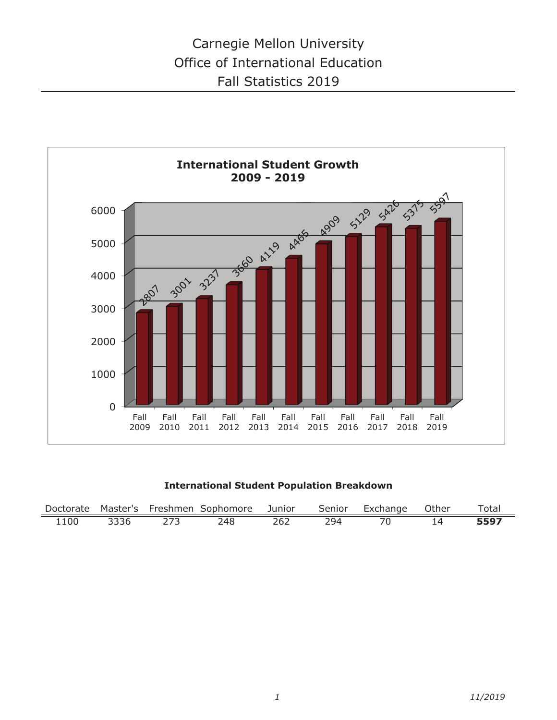

**International Student Population Breakdown**

|      |      |     | Doctorate Master's Freshmen Sophomore Junior |     |     | Senior Exchange Other | Total |
|------|------|-----|----------------------------------------------|-----|-----|-----------------------|-------|
| 1100 | 3336 | 273 | 248                                          | 262 | 294 |                       | 5597  |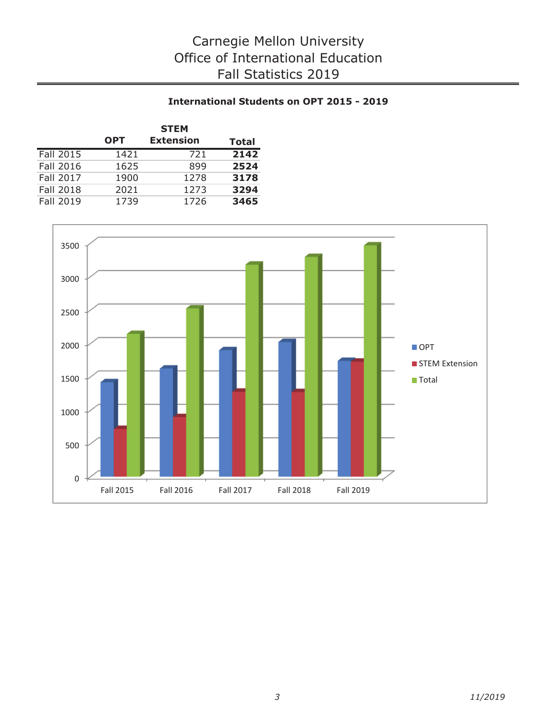## **International Students on OPT 2015 - 2019**

|                  | <b>STEM</b> |                  |              |  |  |  |  |  |  |
|------------------|-------------|------------------|--------------|--|--|--|--|--|--|
|                  | <b>OPT</b>  | <b>Extension</b> | <b>Total</b> |  |  |  |  |  |  |
| Fall 2015        | 1421        | 721              | 2142         |  |  |  |  |  |  |
| <b>Fall 2016</b> | 1625        | 899              | 2524         |  |  |  |  |  |  |
| <b>Fall 2017</b> | 1900        | 1278             | 3178         |  |  |  |  |  |  |
| <b>Fall 2018</b> | 2021        | 1273             | 3294         |  |  |  |  |  |  |
| <b>Fall 2019</b> | 1739        | 1726             | 3465         |  |  |  |  |  |  |

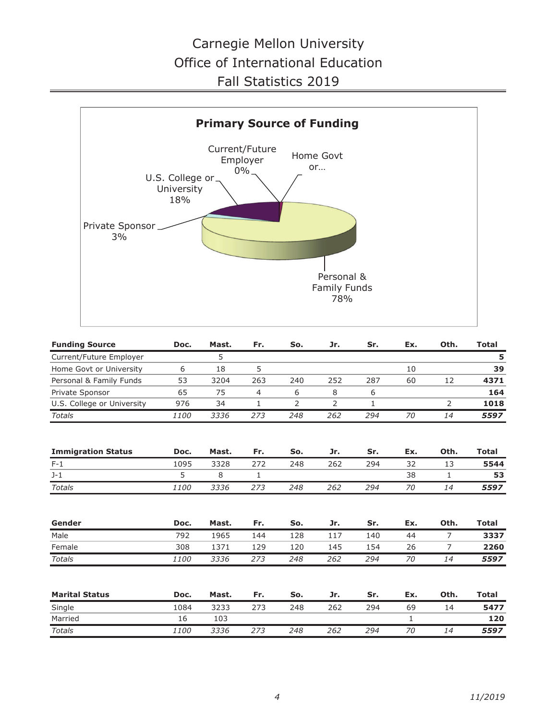

| <b>Funding Source</b>      | Doc. | Mast. | Fr.          | So. | Jr. | Sr. | Ex. | Oth.           | <b>Total</b> |
|----------------------------|------|-------|--------------|-----|-----|-----|-----|----------------|--------------|
| Current/Future Employer    |      | 5     |              |     |     |     |     |                | 5            |
| Home Govt or University    | 6    | 18    | 5            |     |     |     | 10  |                | 39           |
| Personal & Family Funds    | 53   | 3204  | 263          | 240 | 252 | 287 | 60  | 12             | 4371         |
| Private Sponsor            | 65   | 75    | 4            | 6   | 8   | 6   |     |                | 164          |
| U.S. College or University | 976  | 34    | 1            | 2   | 2   | 1   |     | $\overline{2}$ | 1018         |
| <b>Totals</b>              | 1100 | 3336  | 273          | 248 | 262 | 294 | 70  | 14             | 5597         |
| <b>Immigration Status</b>  | Doc. | Mast. | Fr.          | So. | Jr. | Sr. | Ex. | Oth.           | <b>Total</b> |
| $F-1$                      | 1095 | 3328  | 272          | 248 | 262 | 294 | 32  | 13             | 5544         |
| $J-1$                      | 5    | 8     | $\mathbf{1}$ |     |     |     | 38  | $\mathbf{1}$   | 53           |
| <b>Totals</b>              | 1100 | 3336  | 273          | 248 | 262 | 294 | 70  | 14             | 5597         |
|                            |      |       |              |     |     |     |     |                |              |
| Gender                     | Doc. | Mast. | Fr.          | So. | Jr. | Sr. | Ex. | Oth.           | <b>Total</b> |
| Male                       | 792  | 1965  | 144          | 128 | 117 | 140 | 44  | $\overline{7}$ | 3337         |
| Female                     | 308  | 1371  | 129          | 120 | 145 | 154 | 26  | 7              | 2260         |
| <b>Totals</b>              | 1100 | 3336  | 273          | 248 | 262 | 294 | 70  | 14             | 5597         |
| <b>Marital Status</b>      | Doc. | Mast. | Fr.          | So. | Jr. | Sr. | Ex. | Oth.           | <b>Total</b> |
| Single                     | 1084 | 3233  | 273          | 248 | 262 | 294 | 69  | 14             | 5477         |
| Married                    | 16   | 103   |              |     |     |     | 1   |                | 120          |
| <b>Totals</b>              | 1100 | 3336  | 273          | 248 | 262 | 294 | 70  | 14             | 5597         |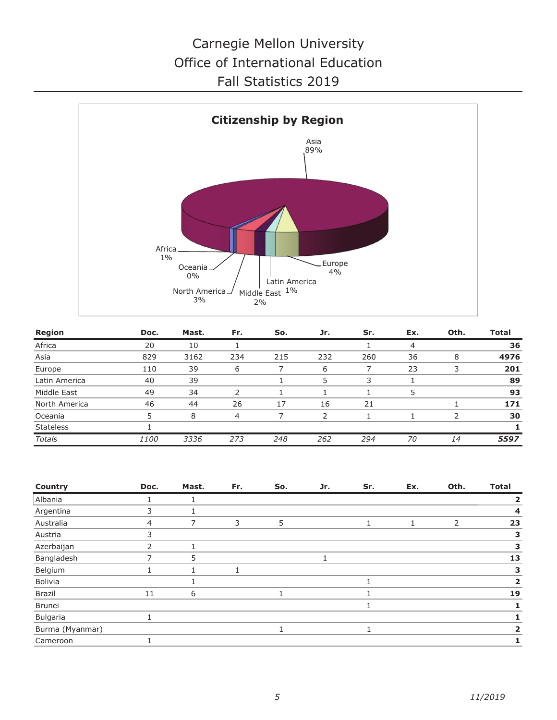

| Region           | Doc.        | Mast. | Fr. | So. | Jr. | Sr. | Ex. | Oth. | Total |
|------------------|-------------|-------|-----|-----|-----|-----|-----|------|-------|
| Africa           | 20          | 10    |     |     |     |     | 4   |      | 36    |
| Asia             | 829         | 3162  | 234 | 215 | 232 | 260 | 36  | 8    | 4976  |
| Europe           | 110         | 39    | 6   |     | 6   |     | 23  |      | 201   |
| Latin America    | 40          | 39    |     |     | 5   | 3   |     |      | 89    |
| Middle East      | 49          | 34    | っ   |     |     |     | 5   |      | 93    |
| North America    | 46          | 44    | 26  | 17  | 16  | 21  |     |      | 171   |
| Oceania          | 5           | 8     | 4   |     | フ   |     |     |      | 30    |
| <b>Stateless</b> |             |       |     |     |     |     |     |      |       |
| Totals           | <i>1100</i> | 3336  | 273 | 248 | 262 | 294 | 70  | 14   | 5597  |

| Country         | Doc. | Mast. | Fr. | So. | Jr. | Sr. | Ex. | Oth.           | <b>Total</b> |
|-----------------|------|-------|-----|-----|-----|-----|-----|----------------|--------------|
| Albania         |      |       |     |     |     |     |     |                |              |
| Argentina       | 3    |       |     |     |     |     |     |                | 4            |
| Australia       | 4    | 7     | 3   | 5   |     |     |     | $\overline{2}$ | 23           |
| Austria         |      |       |     |     |     |     |     |                | 3            |
| Azerbaijan      | 2    |       |     |     |     |     |     |                | З            |
| Bangladesh      |      | 5     |     |     |     |     |     |                | 13           |
| Belgium         |      |       |     |     |     |     |     |                | З            |
| Bolivia         |      |       |     |     |     |     |     |                | 2            |
| Brazil          | 11   | 6     |     |     |     |     |     |                | 19           |
| <b>Brunei</b>   |      |       |     |     |     |     |     |                |              |
| Bulgaria        |      |       |     |     |     |     |     |                |              |
| Burma (Myanmar) |      |       |     |     |     |     |     |                | 2            |
| Cameroon        |      |       |     |     |     |     |     |                |              |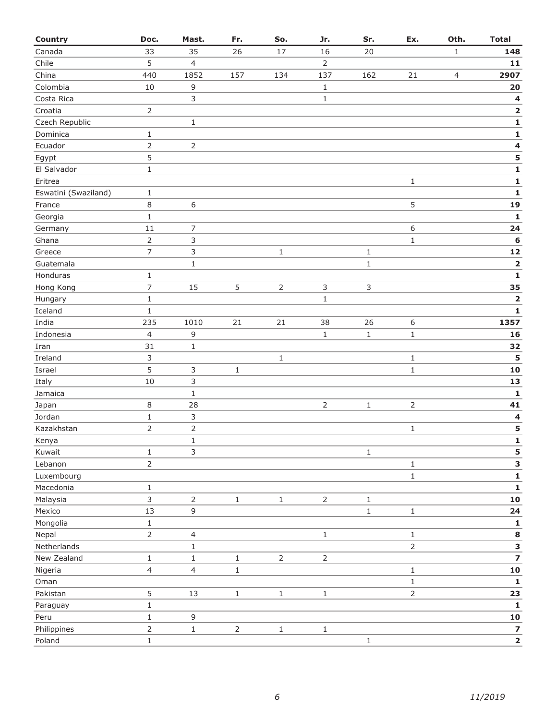| Country              | Doc.           | Mast.          | Fr.            | So.            | Jr.            | Sr.          | Ex.            | Oth.           | <b>Total</b>            |
|----------------------|----------------|----------------|----------------|----------------|----------------|--------------|----------------|----------------|-------------------------|
| Canada               | 33             | 35             | 26             | 17             | 16             | 20           |                | $\mathbf{1}$   | 148                     |
| Chile                | 5              | $\overline{4}$ |                |                | $\overline{2}$ |              |                |                | $11$                    |
| China                | 440            | 1852           | 157            | 134            | 137            | 162          | 21             | $\overline{4}$ | 2907                    |
| Colombia             | 10             | 9              |                |                | $\mathbf 1$    |              |                |                | 20                      |
| Costa Rica           |                | $\mathsf{3}$   |                |                | $\mathbf{1}$   |              |                |                | $\overline{\mathbf{4}}$ |
| Croatia              | $\overline{2}$ |                |                |                |                |              |                |                | $\mathbf 2$             |
| Czech Republic       |                | $\,1\,$        |                |                |                |              |                |                | ${\bf 1}$               |
| Dominica             | $\mathbf{1}$   |                |                |                |                |              |                |                | $\mathbf{1}$            |
| Ecuador              | $\overline{2}$ | $\mathsf{2}$   |                |                |                |              |                |                | $\overline{\mathbf{4}}$ |
| Egypt                | 5              |                |                |                |                |              |                |                | 5                       |
| El Salvador          | $1\,$          |                |                |                |                |              |                |                | $\mathbf{1}$            |
| Eritrea              |                |                |                |                |                |              | $\mathbf{1}$   |                | $\mathbf 1$             |
| Eswatini (Swaziland) | $\mathbf{1}$   |                |                |                |                |              |                |                | $\mathbf 1$             |
| France               | $\,8\,$        | $\,6\,$        |                |                |                |              | 5              |                | 19                      |
| Georgia              | $1\,$          |                |                |                |                |              |                |                | $\mathbf{1}$            |
| Germany              | 11             | 7              |                |                |                |              | 6              |                | 24                      |
| Ghana                | $\overline{2}$ | 3              |                |                |                |              | $\mathbf{1}$   |                | $\bf 6$                 |
| Greece               | $\overline{7}$ | $\mathsf{3}$   |                | $\mathbf{1}$   |                | $\mathbf{1}$ |                |                | ${\bf 12}$              |
| Guatemala            |                | $\mathbf 1$    |                |                |                | $\,1\,$      |                |                | $\overline{\mathbf{2}}$ |
| Honduras             | $\mathbf{1}$   |                |                |                |                |              |                |                | $\mathbf{1}$            |
| Hong Kong            | $\overline{7}$ | 15             | 5              | $\overline{2}$ | $\mathsf 3$    | $\mathsf{3}$ |                |                | 35                      |
| Hungary              | $\mathbf{1}$   |                |                |                | $\mathbf{1}$   |              |                |                | $\mathbf 2$             |
| Iceland              | $\mathbf{1}$   |                |                |                |                |              |                |                | $\mathbf{1}$            |
| India                | 235            | 1010           | 21             | 21             | 38             | 26           | 6              |                | 1357                    |
| Indonesia            | $\overline{4}$ | 9              |                |                | $\mathbf{1}$   | $\mathbf 1$  | $\,1\,$        |                | 16                      |
| Iran                 | 31             | $\mathbf 1$    |                |                |                |              |                |                | 32                      |
| Ireland              | 3              |                |                | $\mathbf 1$    |                |              | $\mathbf{1}$   |                | 5                       |
| Israel               | 5              | 3              | $\mathbf{1}$   |                |                |              | $\,1\,$        |                | 10                      |
| Italy                | 10             | 3              |                |                |                |              |                |                | 13                      |
| Jamaica              |                | $\mathbf 1$    |                |                |                |              |                |                | $\mathbf 1$             |
| Japan                | $\,8\,$        | 28             |                |                | $\mathsf{2}$   | $\mathbf 1$  | $\overline{2}$ |                | 41                      |
| Jordan               | $\,1\,$        | 3              |                |                |                |              |                |                | 4                       |
| Kazakhstan           | $\overline{2}$ | $\overline{2}$ |                |                |                |              | $\mathbf{1}$   |                | 5                       |
| Kenya                |                | $\mathbf 1$    |                |                |                |              |                |                | $\mathbf{1}$            |
| Kuwait               | $1\,$          | 3              |                |                |                | $\,1$        |                |                | 5                       |
| Lebanon              | $\overline{2}$ |                |                |                |                |              | $\,1\,$        |                | 3                       |
| Luxembourg           |                |                |                |                |                |              | $\,1\,$        |                | $\mathbf 1$             |
| Macedonia            | $\,1\,$        |                |                |                |                |              |                |                | ${\bf 1}$               |
| Malaysia             | $\mathfrak{Z}$ | $\overline{2}$ | $\,1$          | $\mathbf{1}$   | $\overline{2}$ | $\mathbf 1$  |                |                | ${\bf 10}$              |
| Mexico               | 13             | $\mathsf g$    |                |                |                | $\mathbf{1}$ | $\mathbf 1$    |                | 24                      |
| Mongolia             | $1\,$          |                |                |                |                |              |                |                | 1                       |
| Nepal                | $\overline{2}$ | $\overline{4}$ |                |                | $\mathbf 1$    |              | $\,1$          |                | 8                       |
| Netherlands          |                | $\mathbf 1$    |                |                |                |              | $\overline{2}$ |                | 3                       |
| New Zealand          | $\,1\,$        | $\,1\,$        | $\mathbf{1}$   | $\overline{2}$ | $\overline{2}$ |              |                |                | $\overline{\mathbf{z}}$ |
| Nigeria              | $\overline{4}$ | $\overline{4}$ | $\mathbf 1$    |                |                |              | $\,1$          |                | ${\bf 10}$              |
| Oman                 |                |                |                |                |                |              | $\,1\,$        |                | $\mathbf{1}$            |
| Pakistan             | 5              | 13             | $\mathbf 1$    | $\mathbf 1$    | $1\,$          |              | $\overline{2}$ |                | 23                      |
| Paraguay             | $\,1\,$        |                |                |                |                |              |                |                | $\mathbf{1}$            |
| Peru                 | $\,1\,$        | $\mathsf 9$    |                |                |                |              |                |                | ${\bf 10}$              |
| Philippines          | $\overline{2}$ | $\,1\,$        | $\overline{2}$ | $1\,$          | $\,1\,$        |              |                |                | $\overline{\mathbf{z}}$ |
| Poland               | $\,1\,$        |                |                |                |                | $\mathbf 1$  |                |                | $\mathbf 2$             |
|                      |                |                |                |                |                |              |                |                |                         |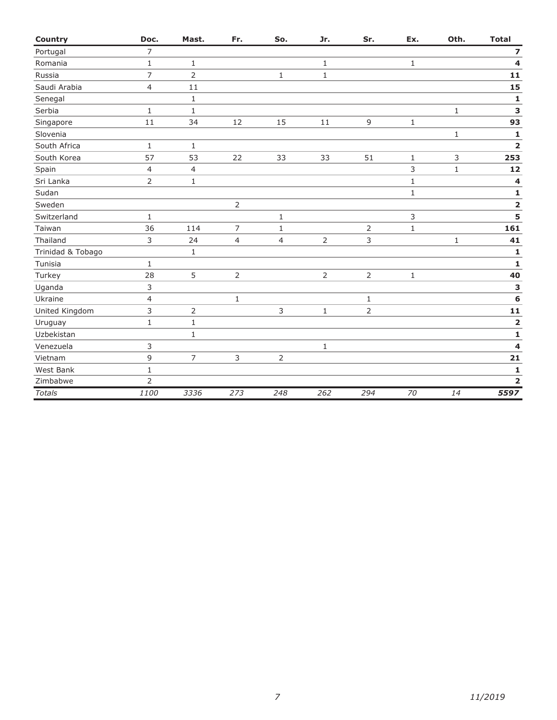| <b>Country</b>    | Doc.           | Mast.          | Fr.            | So.            | Jr.          | Sr.            | Ex.          | Oth.         | <b>Total</b>            |
|-------------------|----------------|----------------|----------------|----------------|--------------|----------------|--------------|--------------|-------------------------|
| Portugal          | $\overline{7}$ |                |                |                |              |                |              |              | $\overline{\mathbf{z}}$ |
| Romania           | $\mathbf{1}$   | $\mathbf{1}$   |                |                | $\mathbf{1}$ |                | $\mathbf{1}$ |              | 4                       |
| Russia            | $\overline{7}$ | $\overline{2}$ |                | $1\,$          | $\mathbf{1}$ |                |              |              | $11$                    |
| Saudi Arabia      | $\overline{4}$ | 11             |                |                |              |                |              |              | 15                      |
| Senegal           |                | $\mathbf{1}$   |                |                |              |                |              |              | 1                       |
| Serbia            | $\mathbf{1}$   | $\mathbf{1}$   |                |                |              |                |              | $\mathbf{1}$ | 3                       |
| Singapore         | 11             | 34             | 12             | 15             | 11           | 9              | $\mathbf{1}$ |              | 93                      |
| Slovenia          |                |                |                |                |              |                |              | $\mathbf{1}$ | $\mathbf{1}$            |
| South Africa      | 1              | $\mathbf{1}$   |                |                |              |                |              |              | $\overline{\mathbf{2}}$ |
| South Korea       | 57             | 53             | 22             | 33             | 33           | 51             | $\mathbf{1}$ | 3            | 253                     |
| Spain             | $\overline{4}$ | $\overline{4}$ |                |                |              |                | 3            | $\mathbf 1$  | 12                      |
| Sri Lanka         | $\overline{2}$ | $\mathbf{1}$   |                |                |              |                | $\mathbf{1}$ |              | 4                       |
| Sudan             |                |                |                |                |              |                | $\mathbf{1}$ |              | $\mathbf 1$             |
| Sweden            |                |                | $\overline{2}$ |                |              |                |              |              | $\overline{\mathbf{2}}$ |
| Switzerland       | $\mathbf{1}$   |                |                | $\mathbf{1}$   |              |                | 3            |              | 5                       |
| Taiwan            | 36             | 114            | $\overline{7}$ | $\mathbf{1}$   |              | 2              | $\mathbf{1}$ |              | 161                     |
| Thailand          | 3              | 24             | $\overline{4}$ | $\overline{4}$ | 2            | 3              |              | 1            | 41                      |
| Trinidad & Tobago |                | $1\,$          |                |                |              |                |              |              | $\mathbf{1}$            |
| Tunisia           | $\mathbf{1}$   |                |                |                |              |                |              |              | $\mathbf{1}$            |
| Turkey            | 28             | 5              | $\overline{2}$ |                | $\mathsf{2}$ | $\overline{2}$ | $\mathbf 1$  |              | 40                      |
| Uganda            | 3              |                |                |                |              |                |              |              | 3                       |
| Ukraine           | $\overline{4}$ |                | $\mathbf{1}$   |                |              | $\mathbf{1}$   |              |              | 6                       |
| United Kingdom    | 3              | $\overline{2}$ |                | 3              | $\mathbf{1}$ | $\overline{2}$ |              |              | 11                      |
| Uruguay           | $\mathbf{1}$   | $\mathbf 1$    |                |                |              |                |              |              | 2                       |
| Uzbekistan        |                | $1\,$          |                |                |              |                |              |              | 1                       |
| Venezuela         | 3              |                |                |                | $\mathbf 1$  |                |              |              | 4                       |
| Vietnam           | 9              | $\overline{7}$ | 3              | 2              |              |                |              |              | 21                      |
| West Bank         | $\mathbf{1}$   |                |                |                |              |                |              |              | $\mathbf{1}$            |
| Zimbabwe          | 2              |                |                |                |              |                |              |              | $\overline{\mathbf{2}}$ |
| <b>Totals</b>     | 1100           | 3336           | 273            | 248            | 262          | 294            | 70           | 14           | 5597                    |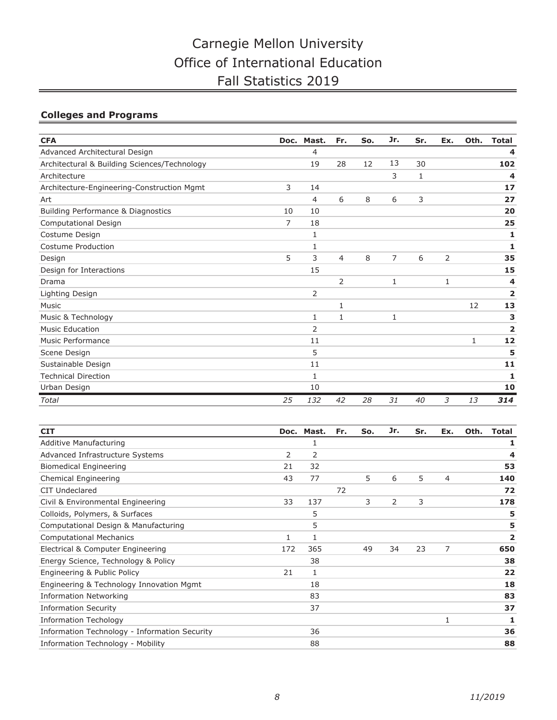## **Colleges and Programs**

| <b>CFA</b>                                   | Doc. | Mast.          | Fr.            | So. | Jr.            | Sr. | Ex.          | Oth. | <b>Total</b>   |
|----------------------------------------------|------|----------------|----------------|-----|----------------|-----|--------------|------|----------------|
| Advanced Architectural Design                |      | 4              |                |     |                |     |              |      | 4              |
| Architectural & Building Sciences/Technology |      | 19             | 28             | 12  | 13             | 30  |              |      | 102            |
| Architecture                                 |      |                |                |     | 3              | 1   |              |      | 4              |
| Architecture-Engineering-Construction Mgmt   | 3    | 14             |                |     |                |     |              |      | 17             |
| Art                                          |      | 4              | 6              | 8   | 6              | 3   |              |      | 27             |
| Building Performance & Diagnostics           | 10   | 10             |                |     |                |     |              |      | 20             |
| Computational Design                         | 7    | 18             |                |     |                |     |              |      | 25             |
| Costume Design                               |      | 1              |                |     |                |     |              |      | 1              |
| Costume Production                           |      | 1              |                |     |                |     |              |      | 1              |
| Design                                       | 5    | 3              | $\overline{4}$ | 8   | $\overline{7}$ | 6   | 2            |      | 35             |
| Design for Interactions                      |      | 15             |                |     |                |     |              |      | 15             |
| Drama                                        |      |                | $\overline{2}$ |     | 1              |     | $\mathbf{1}$ |      | 4              |
| Lighting Design                              |      | 2              |                |     |                |     |              |      | 2              |
| Music                                        |      |                | 1              |     |                |     |              | 12   | 13             |
| Music & Technology                           |      | 1              | $\mathbf{1}$   |     | 1              |     |              |      | 3              |
| <b>Music Education</b>                       |      | $\overline{2}$ |                |     |                |     |              |      | $\overline{2}$ |
| <b>Music Performance</b>                     |      | 11             |                |     |                |     |              | 1    | 12             |
| Scene Design                                 |      | 5              |                |     |                |     |              |      | 5              |
| Sustainable Design                           |      | 11             |                |     |                |     |              |      | 11             |
| <b>Technical Direction</b>                   |      | 1              |                |     |                |     |              |      | 1              |
| Urban Design                                 |      | 10             |                |     |                |     |              |      | 10             |
| Total                                        | 25   | 132            | 42             | 28  | 31             | 40  | 3            | 13   | 314            |

| <b>CIT</b>                                    |     | Doc. Mast. | Fr. | So. | Jr. | Sr. | Ex. | Oth. | <b>Total</b> |
|-----------------------------------------------|-----|------------|-----|-----|-----|-----|-----|------|--------------|
| Additive Manufacturing                        |     | 1          |     |     |     |     |     |      | 1            |
| Advanced Infrastructure Systems               | 2   | 2          |     |     |     |     |     |      | 4            |
| <b>Biomedical Engineering</b>                 | 21  | 32         |     |     |     |     |     |      | 53           |
| Chemical Engineering                          | 43  | 77         |     | 5   | 6   | 5   | 4   |      | 140          |
| CIT Undeclared                                |     |            | 72  |     |     |     |     |      | 72           |
| Civil & Environmental Engineering             | 33  | 137        |     | 3   | 2   | 3   |     |      | 178          |
| Colloids, Polymers, & Surfaces                |     | 5          |     |     |     |     |     |      | 5            |
| Computational Design & Manufacturing          |     | 5          |     |     |     |     |     |      | 5            |
| <b>Computational Mechanics</b>                |     | 1          |     |     |     |     |     |      | 2            |
| Electrical & Computer Engineering             | 172 | 365        |     | 49  | 34  | 23  | 7   |      | 650          |
| Energy Science, Technology & Policy           |     | 38         |     |     |     |     |     |      | 38           |
| Engineering & Public Policy                   | 21  | 1          |     |     |     |     |     |      | 22           |
| Engineering & Technology Innovation Mgmt      |     | 18         |     |     |     |     |     |      | 18           |
| <b>Information Networking</b>                 |     | 83         |     |     |     |     |     |      | 83           |
| <b>Information Security</b>                   |     | 37         |     |     |     |     |     |      | 37           |
| <b>Information Techology</b>                  |     |            |     |     |     |     | 1   |      | 1            |
| Information Technology - Information Security |     | 36         |     |     |     |     |     |      | 36           |
| Information Technology - Mobility             |     | 88         |     |     |     |     |     |      | 88           |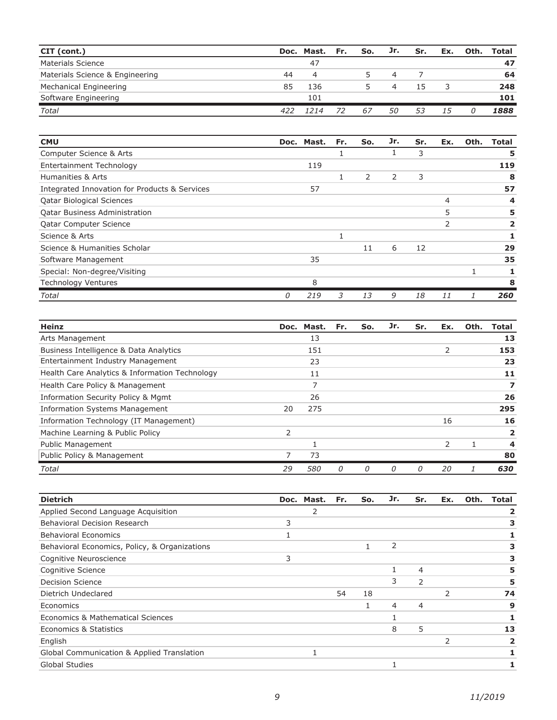| CIT (cont.)                     |     | Doc. Mast. Fr. |    | So. | Jr. | Sr. | Ex. | Oth. | Total |
|---------------------------------|-----|----------------|----|-----|-----|-----|-----|------|-------|
| Materials Science               |     | 47             |    |     |     |     |     |      | 47    |
| Materials Science & Engineering | 44  | 4              |    | 5   | 4   |     |     |      | 64    |
| Mechanical Engineering          | 85  | 136            |    |     | 4   | 15  |     |      | 248   |
| Software Engineering            |     | 101            |    |     |     |     |     |      | 101   |
| <b>Total</b>                    | 422 | 1214           | 72 | 67  | 50  | 53  | 15  |      | 1888  |

| <b>CMU</b>                                    |   | Doc. Mast. | Fr. | So. | Jr. | Sr. | Ex. | Oth. | Total |
|-----------------------------------------------|---|------------|-----|-----|-----|-----|-----|------|-------|
| Computer Science & Arts                       |   |            |     |     | J.  | 3   |     |      | 5     |
| Entertainment Technology                      |   | 119        |     |     |     |     |     |      | 119   |
| Humanities & Arts                             |   |            | 1   | 2   | 2   | 3   |     |      | 8     |
| Integrated Innovation for Products & Services |   | 57         |     |     |     |     |     |      | 57    |
| <b>Qatar Biological Sciences</b>              |   |            |     |     |     |     | 4   |      | 4     |
| <b>Qatar Business Administration</b>          |   |            |     |     |     |     | 5   |      | 5     |
| <b>Qatar Computer Science</b>                 |   |            |     |     |     |     |     |      | 2     |
| Science & Arts                                |   |            |     |     |     |     |     |      |       |
| Science & Humanities Scholar                  |   |            |     | 11  | 6   | 12  |     |      | 29    |
| Software Management                           |   | 35         |     |     |     |     |     |      | 35    |
| Special: Non-degree/Visiting                  |   |            |     |     |     |     |     |      |       |
| <b>Technology Ventures</b>                    |   | 8          |     |     |     |     |     |      | 8     |
| Total                                         | 0 | 219        | 3   | 13  | 9   | 18  | 11  |      | 260   |

| <b>Heinz</b>                                   |               | Doc. Mast. | Fr. | So. | Jr. | Sr. | Ex.           | Oth. | Total |
|------------------------------------------------|---------------|------------|-----|-----|-----|-----|---------------|------|-------|
| Arts Management                                |               | 13         |     |     |     |     |               |      | 13    |
| Business Intelligence & Data Analytics         |               | 151        |     |     |     |     | 2             |      | 153   |
| Entertainment Industry Management              |               | 23         |     |     |     |     |               |      | 23    |
| Health Care Analytics & Information Technology |               | 11         |     |     |     |     |               |      | 11    |
| Health Care Policy & Management                |               |            |     |     |     |     |               |      |       |
| Information Security Policy & Mgmt             |               | 26         |     |     |     |     |               |      | 26    |
| <b>Information Systems Management</b>          | 20            | 275        |     |     |     |     |               |      | 295   |
| Information Technology (IT Management)         |               |            |     |     |     |     | 16            |      | 16    |
| Machine Learning & Public Policy               | $\mathcal{P}$ |            |     |     |     |     |               |      | 2     |
| <b>Public Management</b>                       |               |            |     |     |     |     | $\mathcal{P}$ | 1.   | 4     |
| Public Policy & Management                     |               | 73         |     |     |     |     |               |      | 80    |
| Total                                          | 29            | <i>580</i> | 0   | 0   | 0   | 0   | 20            |      | 630   |

| <b>Dietrich</b>                               |   | Doc. Mast. | Fr. | So. | Jr.            | Sr.            | Ex. | Oth. | Total |
|-----------------------------------------------|---|------------|-----|-----|----------------|----------------|-----|------|-------|
| Applied Second Language Acquisition           |   | 2          |     |     |                |                |     |      |       |
| Behavioral Decision Research                  | 3 |            |     |     |                |                |     |      |       |
| <b>Behavioral Economics</b>                   |   |            |     |     |                |                |     |      |       |
| Behavioral Economics, Policy, & Organizations |   |            |     |     | 2              |                |     |      |       |
| Cognitive Neuroscience                        | 3 |            |     |     |                |                |     |      | 3     |
| Cognitive Science                             |   |            |     |     |                | 4              |     |      | 5     |
| <b>Decision Science</b>                       |   |            |     |     | 3              | $\mathcal{P}$  |     |      | 5     |
| Dietrich Undeclared                           |   |            | 54  | 18  |                |                | 2   |      | 74    |
| Economics                                     |   |            |     |     | $\overline{4}$ | $\overline{4}$ |     |      | 9     |
| Economics & Mathematical Sciences             |   |            |     |     |                |                |     |      |       |
| Economics & Statistics                        |   |            |     |     | 8              | 5              |     |      | 13    |
| English                                       |   |            |     |     |                |                | 2   |      |       |
| Global Communication & Applied Translation    |   |            |     |     |                |                |     |      |       |
| <b>Global Studies</b>                         |   |            |     |     |                |                |     |      |       |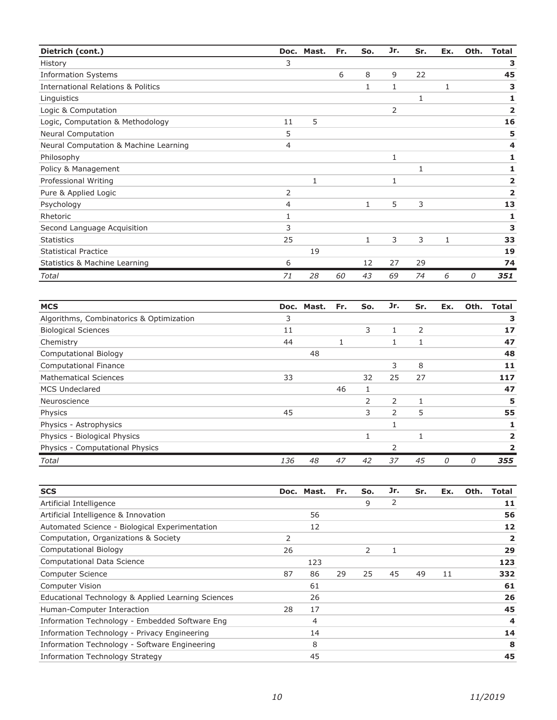| Dietrich (cont.)                              |    | Doc. Mast. | Fr. | So.          | Jr. | Sr. | Ex.          | Oth. | <b>Total</b>            |
|-----------------------------------------------|----|------------|-----|--------------|-----|-----|--------------|------|-------------------------|
| History                                       | 3  |            |     |              |     |     |              |      | З                       |
| <b>Information Systems</b>                    |    |            | 6   | 8            | 9   | 22  |              |      | 45                      |
| <b>International Relations &amp; Politics</b> |    |            |     | 1            | 1   |     | 1            |      | 3                       |
| Linguistics                                   |    |            |     |              |     | 1   |              |      | 1                       |
| Logic & Computation                           |    |            |     |              | 2   |     |              |      | $\overline{\mathbf{2}}$ |
| Logic, Computation & Methodology              | 11 | 5          |     |              |     |     |              |      | 16                      |
| <b>Neural Computation</b>                     | 5  |            |     |              |     |     |              |      | 5                       |
| Neural Computation & Machine Learning         | 4  |            |     |              |     |     |              |      | 4                       |
| Philosophy                                    |    |            |     |              | 1   |     |              |      | 1                       |
| Policy & Management                           |    |            |     |              |     | 1   |              |      | 1                       |
| Professional Writing                          |    | 1          |     |              | 1   |     |              |      | $\overline{2}$          |
| Pure & Applied Logic                          | 2  |            |     |              |     |     |              |      | $\overline{\mathbf{2}}$ |
| Psychology                                    | 4  |            |     | $\mathbf{1}$ | 5   | 3   |              |      | 13                      |
| Rhetoric                                      | 1  |            |     |              |     |     |              |      | 1                       |
| Second Language Acquisition                   | 3  |            |     |              |     |     |              |      | 3                       |
| <b>Statistics</b>                             | 25 |            |     | 1            | 3   | 3   | $\mathbf{1}$ |      | 33                      |
| <b>Statistical Practice</b>                   |    | 19         |     |              |     |     |              |      | 19                      |
| Statistics & Machine Learning                 | 6  |            |     | 12           | 27  | 29  |              |      | 74                      |
| Total                                         | 71 | 28         | 60  | 43           | 69  | 74  | 6            | 0    | 351                     |

| <b>MCS</b>                               |     | Doc. Mast. | Fr. | So. | Jr. | Sr. | Ex. | Oth. | <b>Total</b> |
|------------------------------------------|-----|------------|-----|-----|-----|-----|-----|------|--------------|
| Algorithms, Combinatorics & Optimization | 3   |            |     |     |     |     |     |      | З            |
| <b>Biological Sciences</b>               | 11  |            |     | 3   | 1   | 2   |     |      | 17           |
| Chemistry                                | 44  |            |     |     |     |     |     |      | 47           |
| <b>Computational Biology</b>             |     | 48         |     |     |     |     |     |      | 48           |
| <b>Computational Finance</b>             |     |            |     |     | 3   | 8   |     |      | 11           |
| <b>Mathematical Sciences</b>             | 33  |            |     | 32  | 25  | 27  |     |      | 117          |
| MCS Undeclared                           |     |            | 46  |     |     |     |     |      | 47           |
| Neuroscience                             |     |            |     | 2   | 2   |     |     |      | 5            |
| Physics                                  | 45  |            |     | 3   | 2   | 5   |     |      | 55           |
| Physics - Astrophysics                   |     |            |     |     |     |     |     |      |              |
| Physics - Biological Physics             |     |            |     |     |     |     |     |      |              |
| Physics - Computational Physics          |     |            |     |     | 2   |     |     |      |              |
| Total                                    | 136 | 48         | 47  | 42  | 37  | 45  | 0   | 0    | 355          |

| <b>SCS</b>                                         |    | Doc. Mast. | Fr. | So. | Jr. | Sr. | Ex. | Oth. | Total                   |
|----------------------------------------------------|----|------------|-----|-----|-----|-----|-----|------|-------------------------|
| Artificial Intelligence                            |    |            |     | 9   | 2   |     |     |      | 11                      |
| Artificial Intelligence & Innovation               |    | 56         |     |     |     |     |     |      | 56                      |
| Automated Science - Biological Experimentation     |    | 12         |     |     |     |     |     |      | 12                      |
| Computation, Organizations & Society               | 2  |            |     |     |     |     |     |      | 2                       |
| <b>Computational Biology</b>                       | 26 |            |     | 2   | 1   |     |     |      | 29                      |
| Computational Data Science                         |    | 123        |     |     |     |     |     |      | 123                     |
| <b>Computer Science</b>                            | 87 | 86         | 29  | 25  | 45  | 49  | 11  |      | 332                     |
| <b>Computer Vision</b>                             |    | 61         |     |     |     |     |     |      | 61                      |
| Educational Technology & Applied Learning Sciences |    | 26         |     |     |     |     |     |      | 26                      |
| Human-Computer Interaction                         | 28 | 17         |     |     |     |     |     |      | 45                      |
| Information Technology - Embedded Software Eng     |    | 4          |     |     |     |     |     |      | $\overline{\mathbf{4}}$ |
| Information Technology - Privacy Engineering       |    | 14         |     |     |     |     |     |      | 14                      |
| Information Technology - Software Engineering      |    | 8          |     |     |     |     |     |      | 8                       |
| Information Technology Strategy                    |    | 45         |     |     |     |     |     |      | 45                      |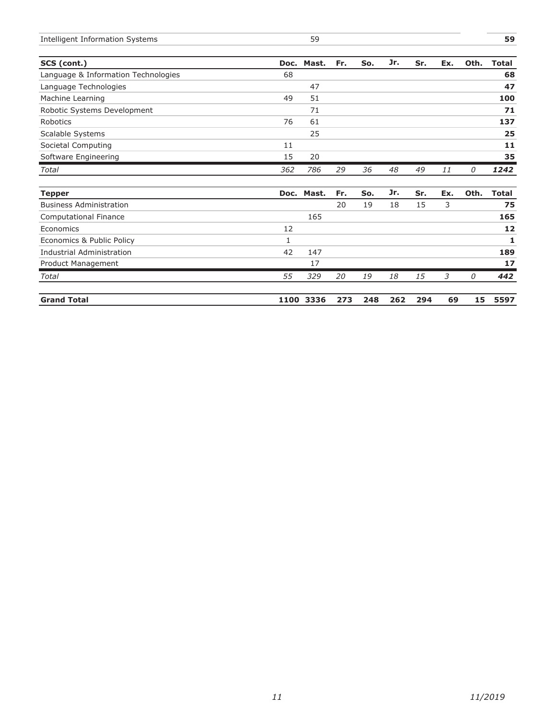| Intelligent Information<br>. Svstems<br>____ |  |  |
|----------------------------------------------|--|--|
|                                              |  |  |

| SCS (cont.)                         |     | Doc. Mast. | Fr. | So. | Jr. | Sr. | Ex. | Oth. | <b>Total</b> |
|-------------------------------------|-----|------------|-----|-----|-----|-----|-----|------|--------------|
| Language & Information Technologies | 68  |            |     |     |     |     |     |      | 68           |
| Language Technologies               |     | 47         |     |     |     |     |     |      | 47           |
| Machine Learning                    | 49  | 51         |     |     |     |     |     |      | 100          |
| Robotic Systems Development         |     | 71         |     |     |     |     |     |      | 71           |
| Robotics                            | 76  | 61         |     |     |     |     |     |      | 137          |
| Scalable Systems                    |     | 25         |     |     |     |     |     |      | 25           |
| Societal Computing                  | 11  |            |     |     |     |     |     |      | $11$         |
| Software Engineering                | 15  | 20         |     |     |     |     |     |      | 35           |
| Total                               | 362 | 786        | 29  | 36  | 48  | 49  | 11  | 0    | 1242         |
| <b>Tepper</b>                       |     | Doc. Mast. | Fr. | So. | Jr. | Sr. | Ex. | Oth. | <b>Total</b> |
| <b>Business Administration</b>      |     |            | 20  | 19  | 18  | 15  | 3   |      | 75           |
| Computational Finance               |     | 165        |     |     |     |     |     |      | 165          |
| Economics                           | 12  |            |     |     |     |     |     |      | 12           |
| Economics & Public Policy           | 1   |            |     |     |     |     |     |      | 1            |
| <b>Industrial Administration</b>    | 42  | 147        |     |     |     |     |     |      | 189          |
| Product Management                  |     | 17         |     |     |     |     |     |      | 17           |
| Total                               | 55  | 329        | 20  | 19  | 18  | 15  | 3   | 0    | 442          |
| <b>Grand Total</b>                  |     | 1100 3336  | 273 | 248 | 262 | 294 | 69  | 15   | 5597         |